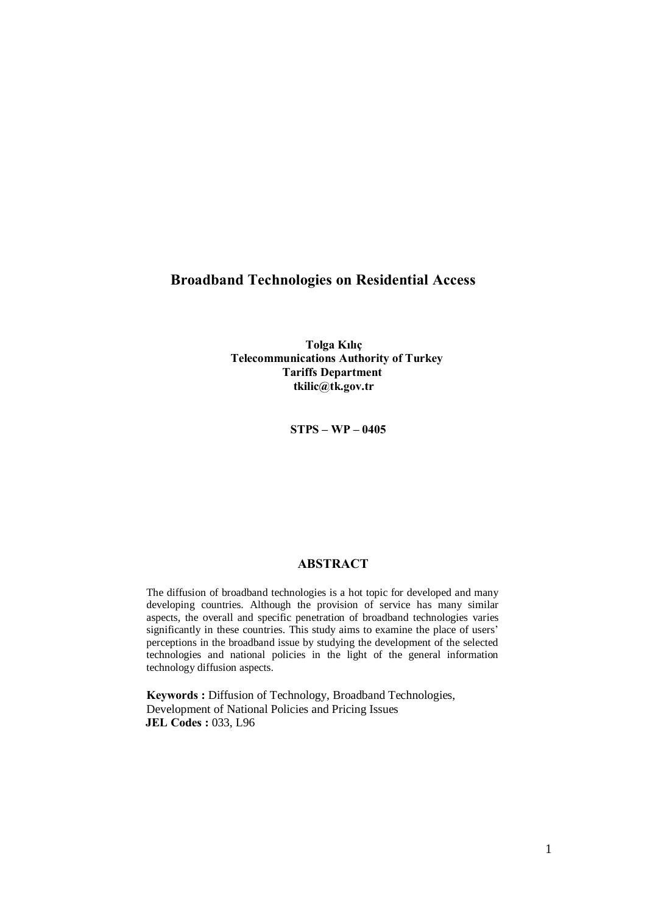# Broadband Technologies on Residential Access

Tolga Kılıç Telecommunications Authority of Turkey Tariffs Department [tkilic@tk.gov.tr](mailto:tkilic@tk.gov.tr)

 $STPS - WP - 0405$ 

#### ABSTRACT

The diffusion of broadband technologies is a hot topic for developed and many developing countries. Although the provision of service has many similar aspects, the overall and specific penetration of broadband technologies varies significantly in these countries. This study aims to examine the place of users' perceptions in the broadband issue by studying the development of the selected technologies and national policies in the light of the general information technology diffusion aspects.

Keywords : Diffusion of Technology, Broadband Technologies, Development of National Policies and Pricing Issues JEL Codes : 033, L96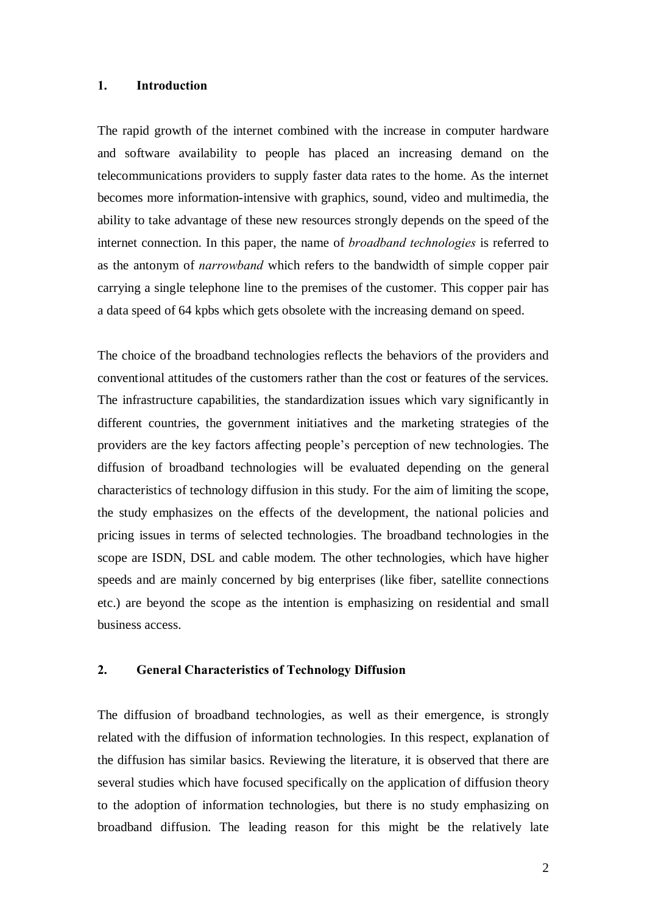#### 1. Introduction

The rapid growth of the internet combined with the increase in computer hardware and software availability to people has placed an increasing demand on the telecommunications providers to supply faster data rates to the home. As the internet becomes more information-intensive with graphics, sound, video and multimedia, the ability to take advantage of these new resources strongly depends on the speed of the internet connection. In this paper, the name of *broadband technologies* is referred to as the antonym of narrowband which refers to the bandwidth of simple copper pair carrying a single telephone line to the premises of the customer. This copper pair has a data speed of 64 kpbs which gets obsolete with the increasing demand on speed.

The choice of the broadband technologies reflects the behaviors of the providers and conventional attitudes of the customers rather than the cost or features of the services. The infrastructure capabilities, the standardization issues which vary significantly in different countries, the government initiatives and the marketing strategies of the providers are the key factors affecting people's perception of new technologies. The diffusion of broadband technologies will be evaluated depending on the general characteristics of technology diffusion in this study. For the aim of limiting the scope, the study emphasizes on the effects of the development, the national policies and pricing issues in terms of selected technologies. The broadband technologies in the scope are ISDN, DSL and cable modem. The other technologies, which have higher speeds and are mainly concerned by big enterprises (like fiber, satellite connections etc.) are beyond the scope as the intention is emphasizing on residential and small business access.

### 2. General Characteristics of Technology Diffusion

The diffusion of broadband technologies, as well as their emergence, is strongly related with the diffusion of information technologies. In this respect, explanation of the diffusion has similar basics. Reviewing the literature, it is observed that there are several studies which have focused specifically on the application of diffusion theory to the adoption of information technologies, but there is no study emphasizing on broadband diffusion. The leading reason for this might be the relatively late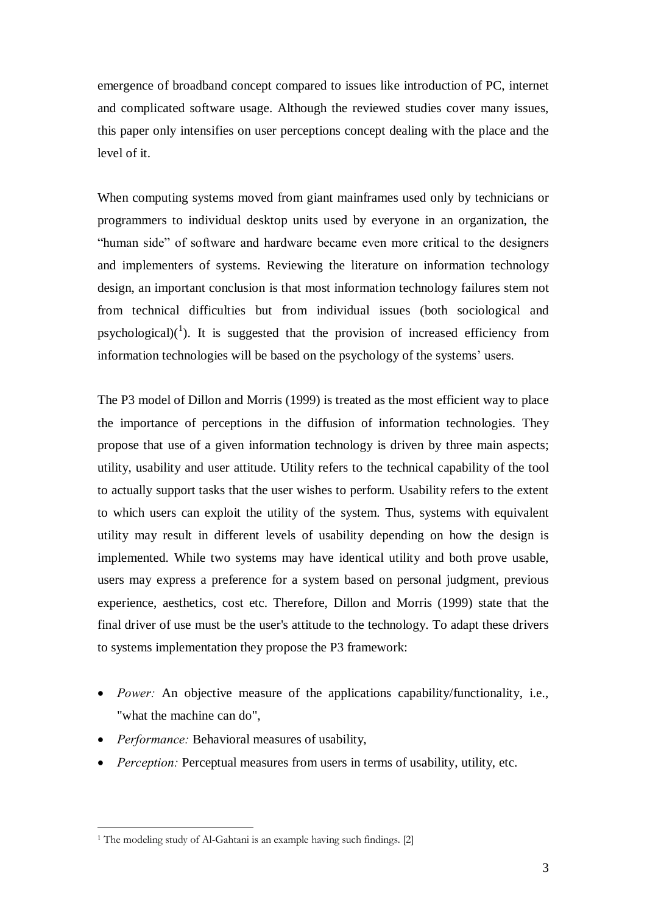emergence of broadband concept compared to issues like introduction of PC, internet and complicated software usage. Although the reviewed studies cover many issues, this paper only intensifies on user perceptions concept dealing with the place and the level of it.

When computing systems moved from giant mainframes used only by technicians or programmers to individual desktop units used by everyone in an organization, the ìhuman sideî of software and hardware became even more critical to the designers and implementers of systems. Reviewing the literature on information technology design, an important conclusion is that most information technology failures stem not from technical difficulties but from individual issues (both sociological and psychological) $(1)$ . It is suggested that the provision of increased efficiency from information technologies will be based on the psychology of the systems' users.

The P3 model of Dillon and Morris (1999) is treated as the most efficient way to place the importance of perceptions in the diffusion of information technologies. They propose that use of a given information technology is driven by three main aspects; utility, usability and user attitude. Utility refers to the technical capability of the tool to actually support tasks that the user wishes to perform. Usability refers to the extent to which users can exploit the utility of the system. Thus, systems with equivalent utility may result in different levels of usability depending on how the design is implemented. While two systems may have identical utility and both prove usable, users may express a preference for a system based on personal judgment, previous experience, aesthetics, cost etc. Therefore, Dillon and Morris (1999) state that the final driver of use must be the user's attitude to the technology. To adapt these drivers to systems implementation they propose the P3 framework:

- Power: An objective measure of the applications capability/functionality, i.e., "what the machine can do",
- Performance: Behavioral measures of usability,

 $\overline{a}$ 

• Perception: Perceptual measures from users in terms of usability, utility, etc.

<sup>&</sup>lt;sup>1</sup> The modeling study of Al-Gahtani is an example having such findings. [2]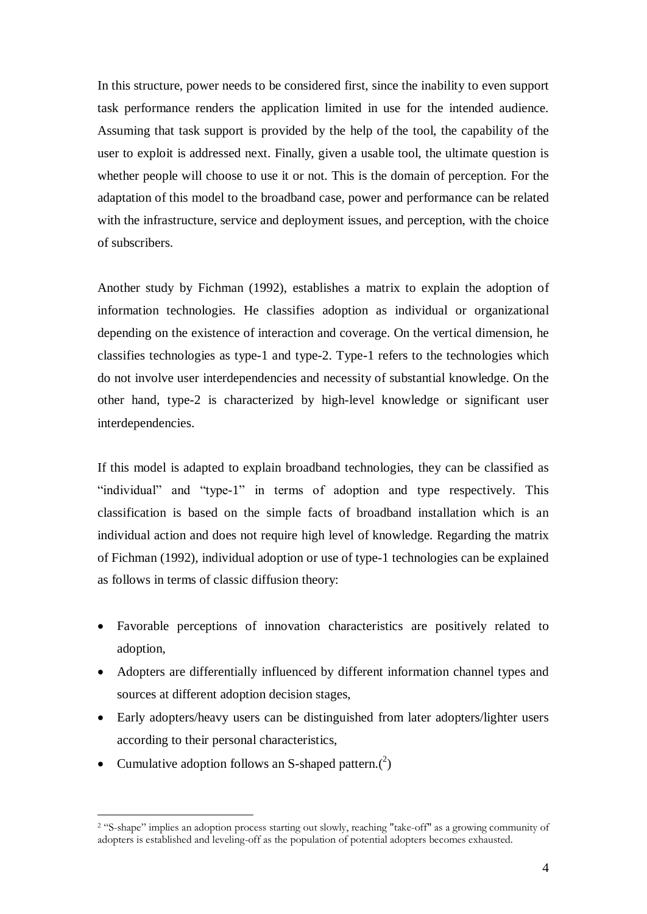In this structure, power needs to be considered first, since the inability to even support task performance renders the application limited in use for the intended audience. Assuming that task support is provided by the help of the tool, the capability of the user to exploit is addressed next. Finally, given a usable tool, the ultimate question is whether people will choose to use it or not. This is the domain of perception. For the adaptation of this model to the broadband case, power and performance can be related with the infrastructure, service and deployment issues, and perception, with the choice of subscribers.

Another study by Fichman (1992), establishes a matrix to explain the adoption of information technologies. He classifies adoption as individual or organizational depending on the existence of interaction and coverage. On the vertical dimension, he classifies technologies as type-1 and type-2. Type-1 refers to the technologies which do not involve user interdependencies and necessity of substantial knowledge. On the other hand, type-2 is characterized by high-level knowledge or significant user interdependencies.

If this model is adapted to explain broadband technologies, they can be classified as "individual" and "type-1" in terms of adoption and type respectively. This classification is based on the simple facts of broadband installation which is an individual action and does not require high level of knowledge. Regarding the matrix of Fichman (1992), individual adoption or use of type-1 technologies can be explained as follows in terms of classic diffusion theory:

- Favorable perceptions of innovation characteristics are positively related to adoption,
- Adopters are differentially influenced by different information channel types and sources at different adoption decision stages,
- Early adopters/heavy users can be distinguished from later adopters/lighter users according to their personal characteristics,
- Cumulative adoption follows an S-shaped pattern. $(2)$

<sup>&</sup>lt;sup>2</sup> "S-shape" implies an adoption process starting out slowly, reaching "take-off" as a growing community of adopters is established and leveling-off as the population of potential adopters becomes exhausted.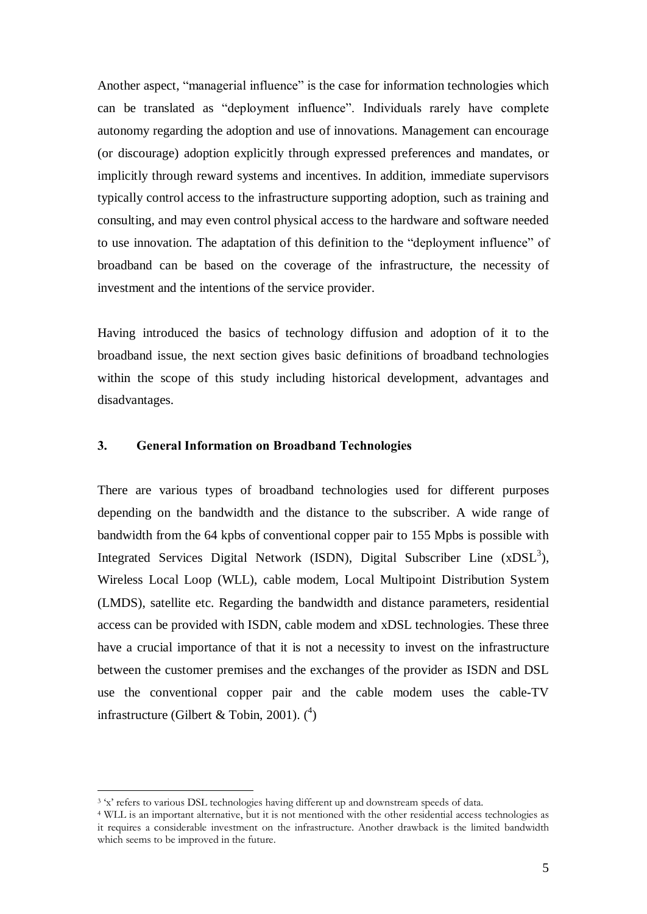Another aspect, "managerial influence" is the case for information technologies which can be translated as "deployment influence". Individuals rarely have complete autonomy regarding the adoption and use of innovations. Management can encourage (or discourage) adoption explicitly through expressed preferences and mandates, or implicitly through reward systems and incentives. In addition, immediate supervisors typically control access to the infrastructure supporting adoption, such as training and consulting, and may even control physical access to the hardware and software needed to use innovation. The adaptation of this definition to the "deployment influence" of broadband can be based on the coverage of the infrastructure, the necessity of investment and the intentions of the service provider.

Having introduced the basics of technology diffusion and adoption of it to the broadband issue, the next section gives basic definitions of broadband technologies within the scope of this study including historical development, advantages and disadvantages.

### 3. General Information on Broadband Technologies

There are various types of broadband technologies used for different purposes depending on the bandwidth and the distance to the subscriber. A wide range of bandwidth from the 64 kpbs of conventional copper pair to 155 Mpbs is possible with Integrated Services Digital Network (ISDN), Digital Subscriber Line (xDSL<sup>3</sup>), Wireless Local Loop (WLL), cable modem, Local Multipoint Distribution System (LMDS), satellite etc. Regarding the bandwidth and distance parameters, residential access can be provided with ISDN, cable modem and xDSL technologies. These three have a crucial importance of that it is not a necessity to invest on the infrastructure between the customer premises and the exchanges of the provider as ISDN and DSL use the conventional copper pair and the cable modem uses the cable-TV infrastructure (Gilbert & Tobin, 2001).  $(1)$ 

<sup>&</sup>lt;sup>3</sup> 'x' refers to various DSL technologies having different up and downstream speeds of data.

<sup>4</sup> WLL is an important alternative, but it is not mentioned with the other residential access technologies as it requires a considerable investment on the infrastructure. Another drawback is the limited bandwidth which seems to be improved in the future.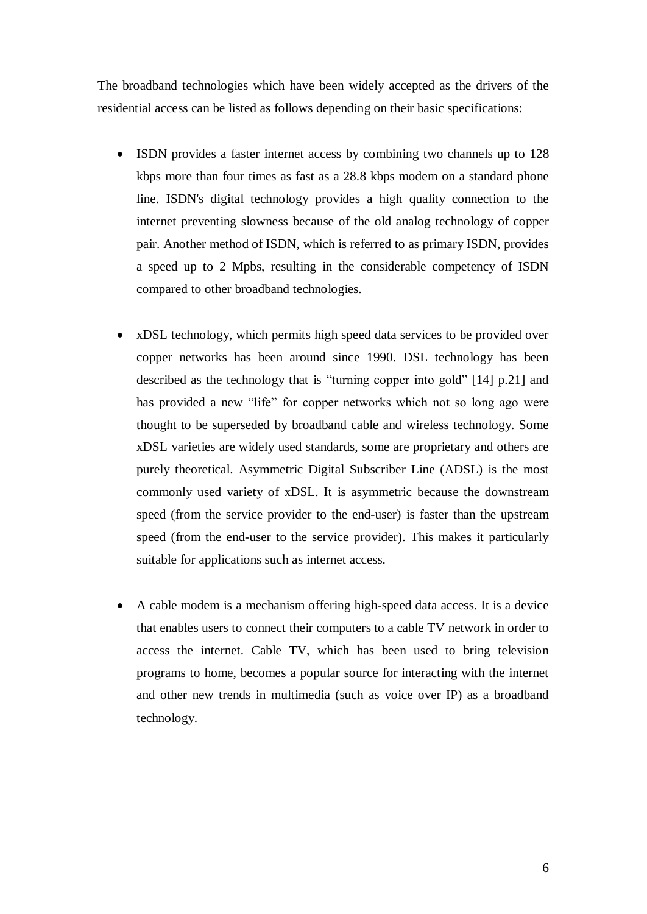The broadband technologies which have been widely accepted as the drivers of the residential access can be listed as follows depending on their basic specifications:

- ISDN provides a faster internet access by combining two channels up to 128 kbps more than four times as fast as a 28.8 kbps modem on a standard phone line. ISDN's digital technology provides a high quality connection to the internet preventing slowness because of the old analog technology of copper pair. Another method of ISDN, which is referred to as primary ISDN, provides a speed up to 2 Mpbs, resulting in the considerable competency of ISDN compared to other broadband technologies.
- xDSL technology, which permits high speed data services to be provided over copper networks has been around since 1990. DSL technology has been described as the technology that is "turning copper into gold"  $[14]$  p.21] and has provided a new "life" for copper networks which not so long ago were thought to be superseded by broadband cable and wireless technology. Some xDSL varieties are widely used standards, some are proprietary and others are purely theoretical. Asymmetric Digital Subscriber Line (ADSL) is the most commonly used variety of xDSL. It is asymmetric because the downstream speed (from the service provider to the end-user) is faster than the upstream speed (from the end-user to the service provider). This makes it particularly suitable for applications such as internet access.
- A cable modem is a mechanism offering high-speed data access. It is a device that enables users to connect their computers to a cable TV network in order to access the internet. Cable TV, which has been used to bring television programs to home, becomes a popular source for interacting with the internet and other new trends in multimedia (such as voice over IP) as a broadband technology.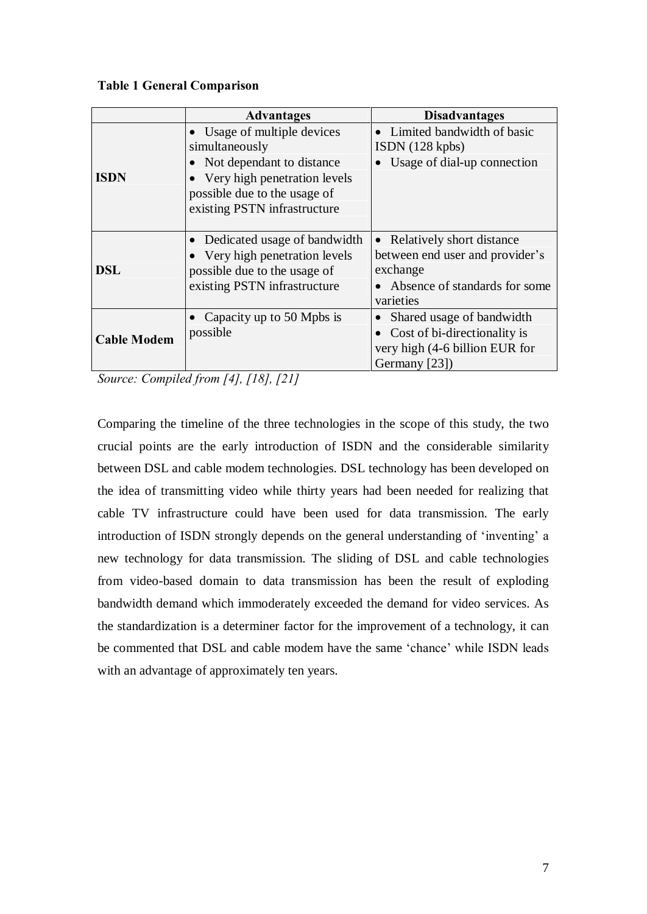### Table 1 General Comparison

|                    | <b>Advantages</b>                                                                                                              | <b>Disadvantages</b>                                                                                                     |  |
|--------------------|--------------------------------------------------------------------------------------------------------------------------------|--------------------------------------------------------------------------------------------------------------------------|--|
|                    | Usage of multiple devices<br>simultaneously                                                                                    | Limited bandwidth of basic<br>ISBN (128 kpbs)                                                                            |  |
| <b>ISDN</b>        | • Not dependant to distance<br>• Very high penetration levels<br>possible due to the usage of<br>existing PSTN infrastructure  | Usage of dial-up connection                                                                                              |  |
| <b>DSL</b>         | Dedicated usage of bandwidth<br>• Very high penetration levels<br>possible due to the usage of<br>existing PSTN infrastructure | • Relatively short distance<br>between end user and provider's<br>exchange<br>Absence of standards for some<br>varieties |  |
| <b>Cable Modem</b> | Capacity up to 50 Mpbs is<br>possible                                                                                          | Shared usage of bandwidth<br>Cost of bi-directionality is<br>very high (4-6 billion EUR for<br>Germany [23])             |  |

Source: Compiled from [4], [18], [21]

Comparing the timeline of the three technologies in the scope of this study, the two crucial points are the early introduction of ISDN and the considerable similarity between DSL and cable modem technologies. DSL technology has been developed on the idea of transmitting video while thirty years had been needed for realizing that cable TV infrastructure could have been used for data transmission. The early introduction of ISDN strongly depends on the general understanding of 'inventing' a new technology for data transmission. The sliding of DSL and cable technologies from video-based domain to data transmission has been the result of exploding bandwidth demand which immoderately exceeded the demand for video services. As the standardization is a determiner factor for the improvement of a technology, it can be commented that DSL and cable modem have the same 'chance' while ISDN leads with an advantage of approximately ten years.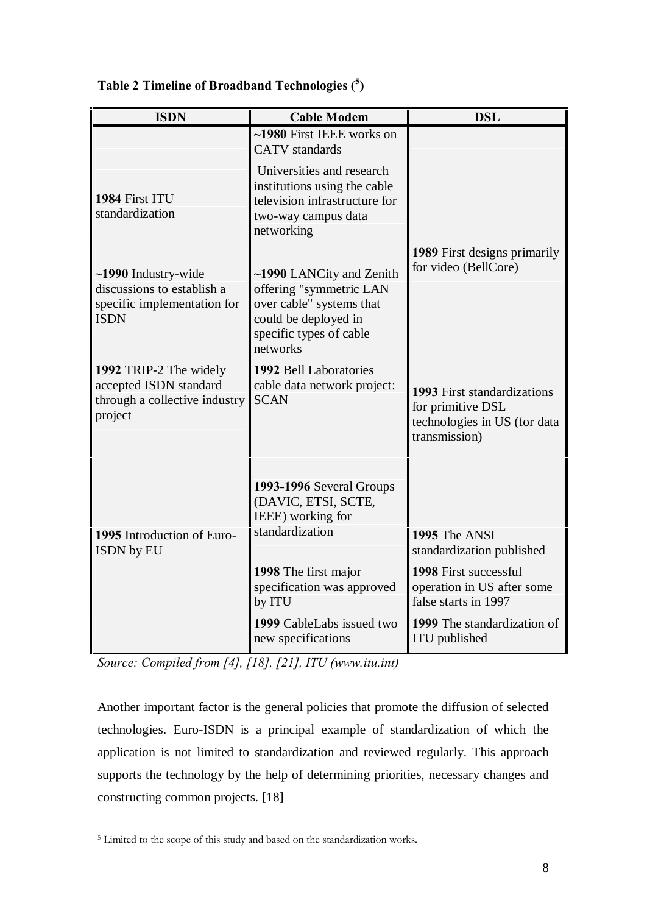| <b>ISDN</b>                                                                                           | <b>Cable Modem</b>                                                                                                                                      | <b>DSL</b>                                                                                                                |
|-------------------------------------------------------------------------------------------------------|---------------------------------------------------------------------------------------------------------------------------------------------------------|---------------------------------------------------------------------------------------------------------------------------|
|                                                                                                       | ~1980 First IEEE works on<br><b>CATV</b> standards                                                                                                      |                                                                                                                           |
| 1984 First ITU<br>standardization                                                                     | Universities and research<br>institutions using the cable<br>television infrastructure for<br>two-way campus data<br>networking                         |                                                                                                                           |
| $\sim$ 1990 Industry-wide<br>discussions to establish a<br>specific implementation for<br><b>ISDN</b> | ~1990 LANCity and Zenith<br>offering "symmetric LAN<br>over cable" systems that<br>could be deployed in<br>specific types of cable<br>networks          | 1989 First designs primarily<br>for video (BellCore)                                                                      |
| 1992 TRIP-2 The widely<br>accepted ISDN standard<br>through a collective industry<br>project          | 1992 Bell Laboratories<br>cable data network project:<br><b>SCAN</b>                                                                                    | 1993 First standardizations<br>for primitive DSL<br>technologies in US (for data<br>transmission)                         |
| 1995 Introduction of Euro-<br>ISDN by EU                                                              | 1993-1996 Several Groups<br>(DAVIC, ETSI, SCTE,<br>IEEE) working for<br>standardization<br>1998 The first major<br>specification was approved<br>by ITU | 1995 The ANSI<br>standardization published<br>1998 First successful<br>operation in US after some<br>false starts in 1997 |
|                                                                                                       | 1999 CableLabs issued two<br>new specifications                                                                                                         | 1999 The standardization of<br>ITU published                                                                              |

Table 2 Timeline of Broadband Technologies ( <sup>5</sup>)

Source: Compiled from [4], [18], [21], ITU (www.itu.int)

Another important factor is the general policies that promote the diffusion of selected technologies. Euro-ISDN is a principal example of standardization of which the application is not limited to standardization and reviewed regularly. This approach supports the technology by the help of determining priorities, necessary changes and constructing common projects. [18]

 $\overline{a}$ <sup>5</sup> Limited to the scope of this study and based on the standardization works.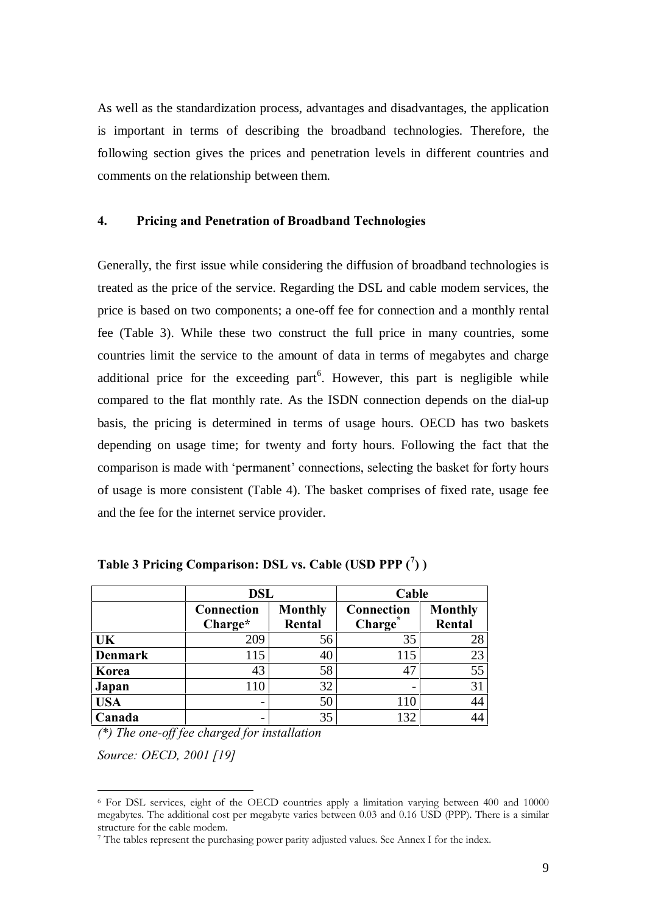As well as the standardization process, advantages and disadvantages, the application is important in terms of describing the broadband technologies. Therefore, the following section gives the prices and penetration levels in different countries and comments on the relationship between them.

### 4. Pricing and Penetration of Broadband Technologies

Generally, the first issue while considering the diffusion of broadband technologies is treated as the price of the service. Regarding the DSL and cable modem services, the price is based on two components; a one-off fee for connection and a monthly rental fee (Table 3). While these two construct the full price in many countries, some countries limit the service to the amount of data in terms of megabytes and charge additional price for the exceeding part<sup>6</sup>. However, this part is negligible while compared to the flat monthly rate. As the ISDN connection depends on the dial-up basis, the pricing is determined in terms of usage hours. OECD has two baskets depending on usage time; for twenty and forty hours. Following the fact that the comparison is made with 'permanent' connections, selecting the basket for forty hours of usage is more consistent (Table 4). The basket comprises of fixed rate, usage fee and the fee for the internet service provider.

|                | <b>DSL</b>                   |        | Cable      |                |
|----------------|------------------------------|--------|------------|----------------|
|                | <b>Monthly</b><br>Connection |        | Connection | <b>Monthly</b> |
|                | Charge*                      | Rental | Charge     | Rental         |
| UK             | 209                          | 56     | 35         | 28             |
| <b>Denmark</b> | 115                          | 40     | 115        | 23             |
| Korea          | 43                           | 58     | 47         | 55             |
| Japan          | 110                          | 32     | -          | 31             |
| <b>USA</b>     | $\overline{\phantom{0}}$     | 50     | 110        | 44             |
| Canada         |                              | 35     | 132        | 44             |

Table 3 Pricing Comparison: DSL vs. Cable (USD PPP  $(^7)$  )

 $(*)$  The one-off fee charged for installation

Source: OECD, 2001 [19]

<sup>6</sup> For DSL services, eight of the OECD countries apply a limitation varying between 400 and 10000 megabytes. The additional cost per megabyte varies between 0.03 and 0.16 USD (PPP). There is a similar structure for the cable modem.

<sup>7</sup> The tables represent the purchasing power parity adjusted values. See Annex I for the index.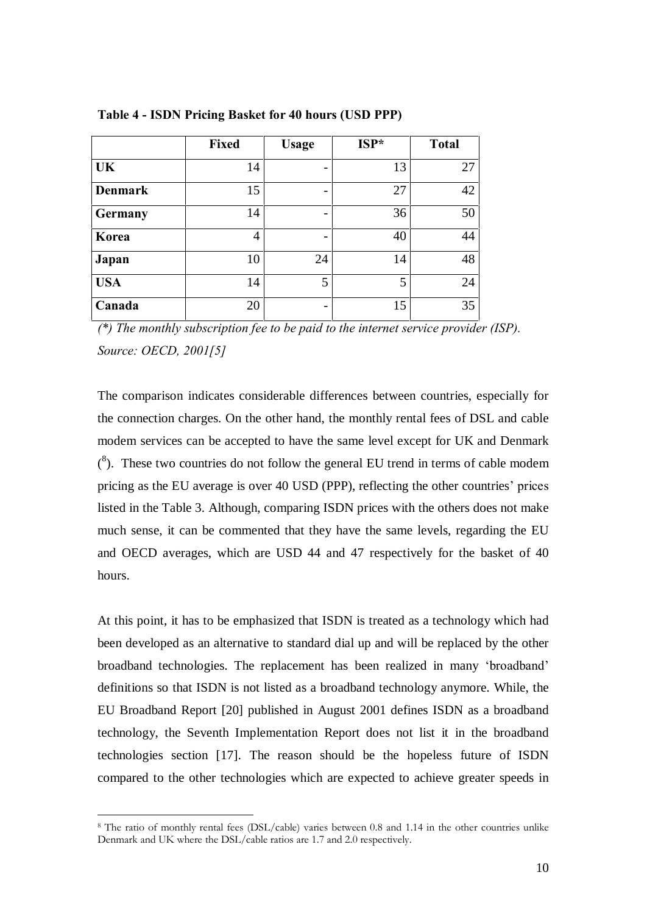|                | <b>Fixed</b> | <b>Usage</b>             | $ISP^*$ | <b>Total</b> |
|----------------|--------------|--------------------------|---------|--------------|
| <b>UK</b>      | 14           | $\overline{\phantom{0}}$ | 13      | 27           |
| <b>Denmark</b> | 15           | $\overline{\phantom{0}}$ | 27      | 42           |
| <b>Germany</b> | 14           | $\overline{\phantom{0}}$ | 36      | 50           |
| Korea          | 4            | -                        | 40      | 44           |
| Japan          | 10           | 24                       | 14      | 48           |
| <b>USA</b>     | 14           | 5                        | 5       | 24           |
| Canada         | 20           |                          | 15      | 35           |

Table 4 - ISDN Pricing Basket for 40 hours (USD PPP)

 $(*)$  The monthly subscription fee to be paid to the internet service provider (ISP). Source: OECD, 2001[5]

The comparison indicates considerable differences between countries, especially for the connection charges. On the other hand, the monthly rental fees of DSL and cable modem services can be accepted to have the same level except for UK and Denmark  $(8)$ . These two countries do not follow the general EU trend in terms of cable modem pricing as the EU average is over 40 USD (PPP), reflecting the other countries' prices listed in the Table 3. Although, comparing ISDN prices with the others does not make much sense, it can be commented that they have the same levels, regarding the EU and OECD averages, which are USD 44 and 47 respectively for the basket of 40 hours.

At this point, it has to be emphasized that ISDN is treated as a technology which had been developed as an alternative to standard dial up and will be replaced by the other broadband technologies. The replacement has been realized in many 'broadband' definitions so that ISDN is not listed as a broadband technology anymore. While, the EU Broadband Report [20] published in August 2001 defines ISDN as a broadband technology, the Seventh Implementation Report does not list it in the broadband technologies section [17]. The reason should be the hopeless future of ISDN compared to the other technologies which are expected to achieve greater speeds in

<sup>8</sup> The ratio of monthly rental fees (DSL/cable) varies between 0.8 and 1.14 in the other countries unlike Denmark and UK where the DSL/cable ratios are 1.7 and 2.0 respectively.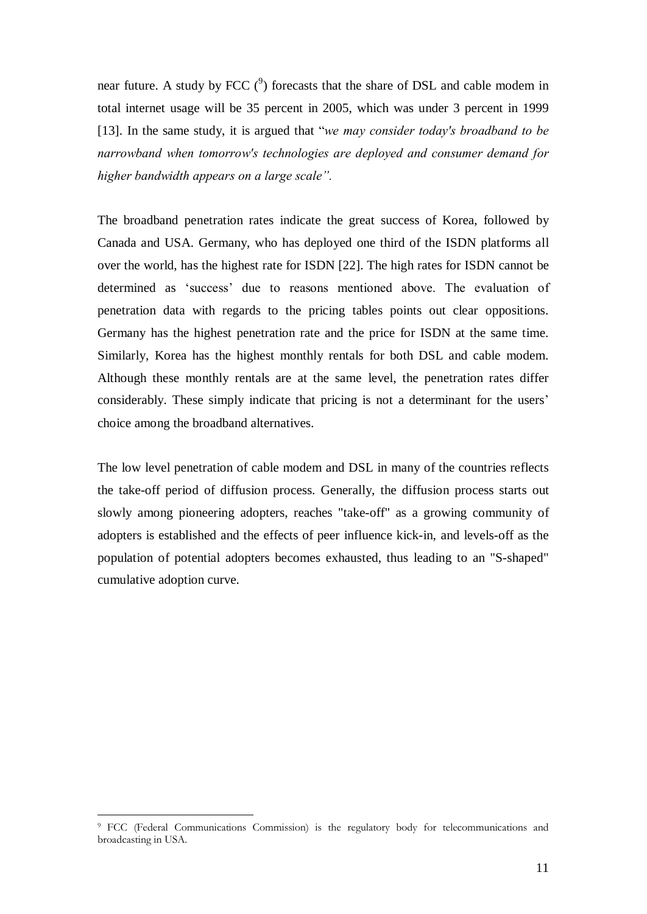near future. A study by FCC  $(2)$  forecasts that the share of DSL and cable modem in total internet usage will be 35 percent in 2005, which was under 3 percent in 1999 [13]. In the same study, it is argued that "we may consider today's broadband to be narrowband when tomorrow's technologies are deployed and consumer demand for higher bandwidth appears on a large scale".

The broadband penetration rates indicate the great success of Korea, followed by Canada and USA. Germany, who has deployed one third of the ISDN platforms all over the world, has the highest rate for ISDN [22]. The high rates for ISDN cannot be determined as 'success' due to reasons mentioned above. The evaluation of penetration data with regards to the pricing tables points out clear oppositions. Germany has the highest penetration rate and the price for ISDN at the same time. Similarly, Korea has the highest monthly rentals for both DSL and cable modem. Although these monthly rentals are at the same level, the penetration rates differ considerably. These simply indicate that pricing is not a determinant for the users' choice among the broadband alternatives.

The low level penetration of cable modem and DSL in many of the countries reflects the take-off period of diffusion process. Generally, the diffusion process starts out slowly among pioneering adopters, reaches "take-off" as a growing community of adopters is established and the effects of peer influence kick-in, and levels-off as the population of potential adopters becomes exhausted, thus leading to an "S-shaped" cumulative adoption curve.

<sup>9</sup> FCC (Federal Communications Commission) is the regulatory body for telecommunications and broadcasting in USA.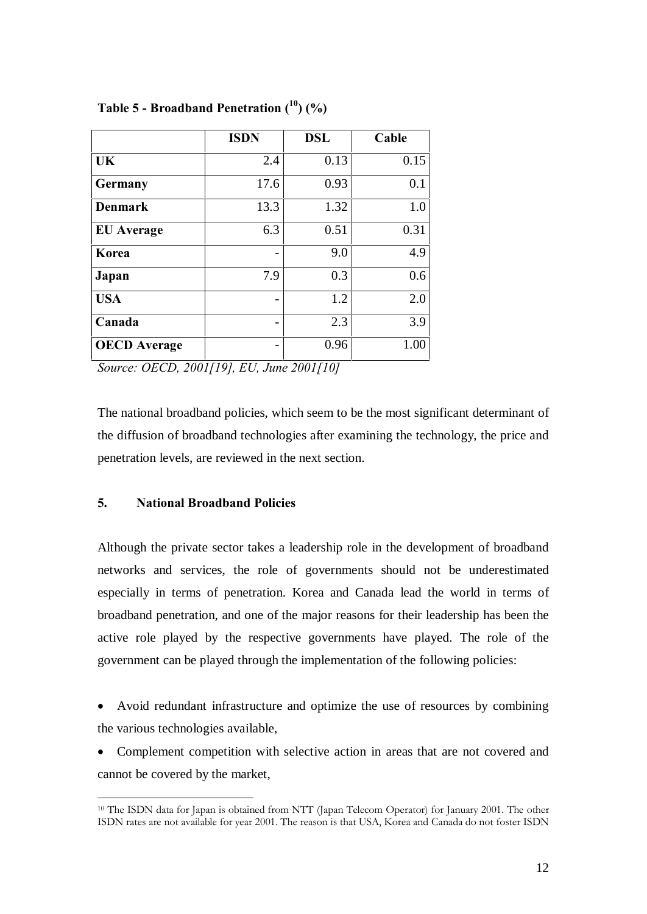|                     | <b>ISDN</b> | <b>DSL</b> | Cable |
|---------------------|-------------|------------|-------|
| UK                  | 2.4         | 0.13       | 0.15  |
| <b>Germany</b>      | 17.6        | 0.93       | 0.1   |
| <b>Denmark</b>      | 13.3        | 1.32       | 1.0   |
| <b>EU</b> Average   | 6.3         | 0.51       | 0.31  |
| Korea               |             | 9.0        | 4.9   |
| Japan               | 7.9         | 0.3        | 0.6   |
| <b>USA</b>          |             | 1.2        | 2.0   |
| Canada              |             | 2.3        | 3.9   |
| <b>OECD</b> Average |             | 0.96       | 1.00  |

## Table 5 - Broadband Penetration  $(^{10})$  (%)

Source: OECD, 2001[19], EU, June 2001[10]

The national broadband policies, which seem to be the most significant determinant of the diffusion of broadband technologies after examining the technology, the price and penetration levels, are reviewed in the next section.

### 5. National Broadband Policies

Although the private sector takes a leadership role in the development of broadband networks and services, the role of governments should not be underestimated especially in terms of penetration. Korea and Canada lead the world in terms of broadband penetration, and one of the major reasons for their leadership has been the active role played by the respective governments have played. The role of the government can be played through the implementation of the following policies:

 Avoid redundant infrastructure and optimize the use of resources by combining the various technologies available,

 Complement competition with selective action in areas that are not covered and cannot be covered by the market,

 $\overline{a}$ <sup>10</sup> The ISDN data for Japan is obtained from NTT (Japan Telecom Operator) for January 2001. The other ISDN rates are not available for year 2001. The reason is that USA, Korea and Canada do not foster ISDN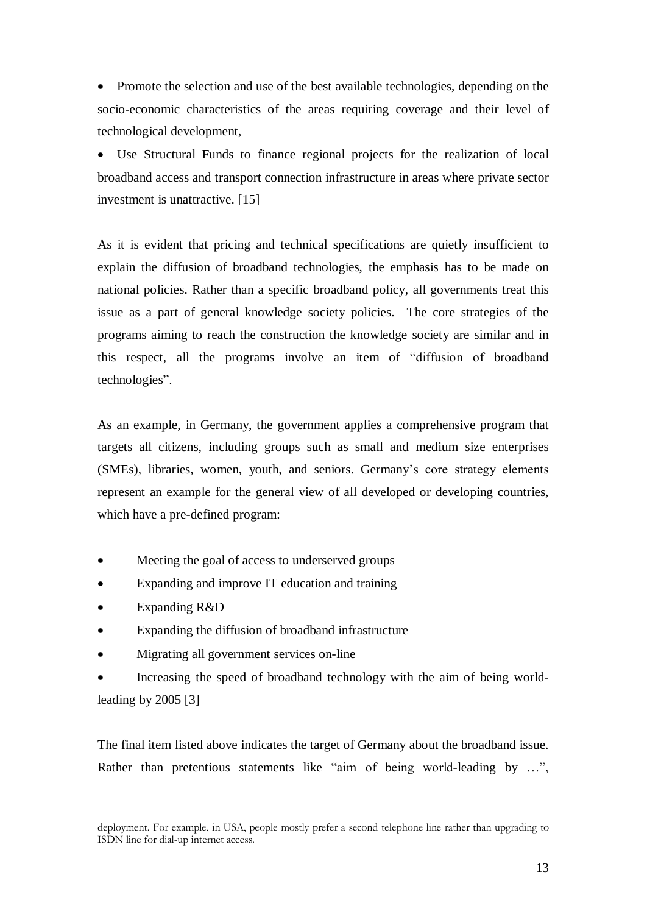• Promote the selection and use of the best available technologies, depending on the socio-economic characteristics of the areas requiring coverage and their level of technological development,

 Use Structural Funds to finance regional projects for the realization of local broadband access and transport connection infrastructure in areas where private sector investment is unattractive. [15]

As it is evident that pricing and technical specifications are quietly insufficient to explain the diffusion of broadband technologies, the emphasis has to be made on national policies. Rather than a specific broadband policy, all governments treat this issue as a part of general knowledge society policies. The core strategies of the programs aiming to reach the construction the knowledge society are similar and in this respect, all the programs involve an item of "diffusion of broadband technologies".

As an example, in Germany, the government applies a comprehensive program that targets all citizens, including groups such as small and medium size enterprises (SMEs), libraries, women, youth, and seniors. Germany's core strategy elements represent an example for the general view of all developed or developing countries, which have a pre-defined program:

- Meeting the goal of access to underserved groups
- Expanding and improve IT education and training
- Expanding R&D

 $\overline{a}$ 

- Expanding the diffusion of broadband infrastructure
- Migrating all government services on-line
- Increasing the speed of broadband technology with the aim of being worldleading by 2005 [3]

The final item listed above indicates the target of Germany about the broadband issue. Rather than pretentious statements like "aim of being world-leading by ...",

deployment. For example, in USA, people mostly prefer a second telephone line rather than upgrading to ISDN line for dial-up internet access.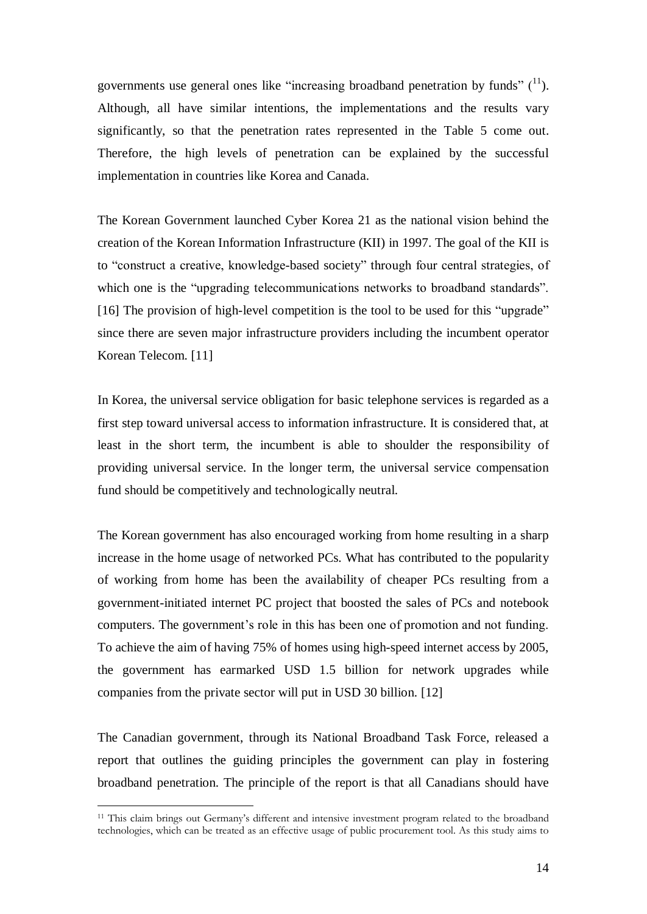governments use general ones like "increasing broadband penetration by funds"  $(^{11})$ . Although, all have similar intentions, the implementations and the results vary significantly, so that the penetration rates represented in the Table 5 come out. Therefore, the high levels of penetration can be explained by the successful implementation in countries like Korea and Canada.

The Korean Government launched Cyber Korea 21 as the national vision behind the creation of the Korean Information Infrastructure (KII) in 1997. The goal of the KII is to "construct a creative, knowledge-based society" through four central strategies, of which one is the "upgrading telecommunications networks to broadband standards".  $[16]$  The provision of high-level competition is the tool to be used for this "upgrade" since there are seven major infrastructure providers including the incumbent operator Korean Telecom. [11]

In Korea, the universal service obligation for basic telephone services is regarded as a first step toward universal access to information infrastructure. It is considered that, at least in the short term, the incumbent is able to shoulder the responsibility of providing universal service. In the longer term, the universal service compensation fund should be competitively and technologically neutral.

The Korean government has also encouraged working from home resulting in a sharp increase in the home usage of networked PCs. What has contributed to the popularity of working from home has been the availability of cheaper PCs resulting from a government-initiated internet PC project that boosted the sales of PCs and notebook computers. The government's role in this has been one of promotion and not funding. To achieve the aim of having 75% of homes using high-speed internet access by 2005, the government has earmarked USD 1.5 billion for network upgrades while companies from the private sector will put in USD 30 billion. [12]

The Canadian government, through its National Broadband Task Force, released a report that outlines the guiding principles the government can play in fostering broadband penetration. The principle of the report is that all Canadians should have

<sup>11</sup> This claim brings out Germanyís different and intensive investment program related to the broadband technologies, which can be treated as an effective usage of public procurement tool. As this study aims to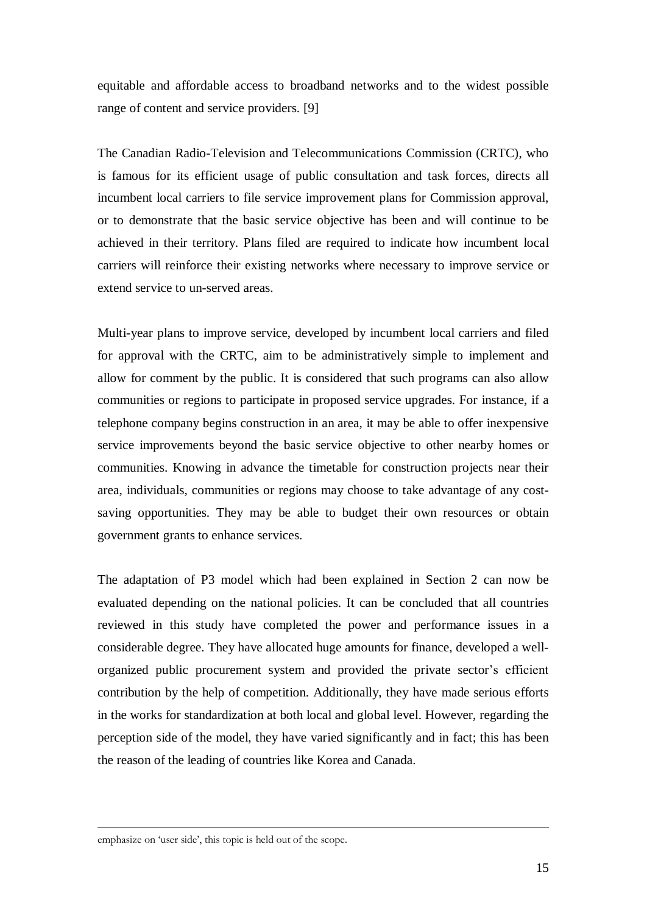equitable and affordable access to broadband networks and to the widest possible range of content and service providers. [9]

The Canadian Radio-Television and Telecommunications Commission (CRTC), who is famous for its efficient usage of public consultation and task forces, directs all incumbent local carriers to file service improvement plans for Commission approval, or to demonstrate that the basic service objective has been and will continue to be achieved in their territory. Plans filed are required to indicate how incumbent local carriers will reinforce their existing networks where necessary to improve service or extend service to un-served areas.

Multi-year plans to improve service, developed by incumbent local carriers and filed for approval with the CRTC, aim to be administratively simple to implement and allow for comment by the public. It is considered that such programs can also allow communities or regions to participate in proposed service upgrades. For instance, if a telephone company begins construction in an area, it may be able to offer inexpensive service improvements beyond the basic service objective to other nearby homes or communities. Knowing in advance the timetable for construction projects near their area, individuals, communities or regions may choose to take advantage of any costsaving opportunities. They may be able to budget their own resources or obtain government grants to enhance services.

The adaptation of P3 model which had been explained in Section 2 can now be evaluated depending on the national policies. It can be concluded that all countries reviewed in this study have completed the power and performance issues in a considerable degree. They have allocated huge amounts for finance, developed a wellorganized public procurement system and provided the private sector's efficient contribution by the help of competition. Additionally, they have made serious efforts in the works for standardization at both local and global level. However, regarding the perception side of the model, they have varied significantly and in fact; this has been the reason of the leading of countries like Korea and Canada.

emphasize on 'user side', this topic is held out of the scope.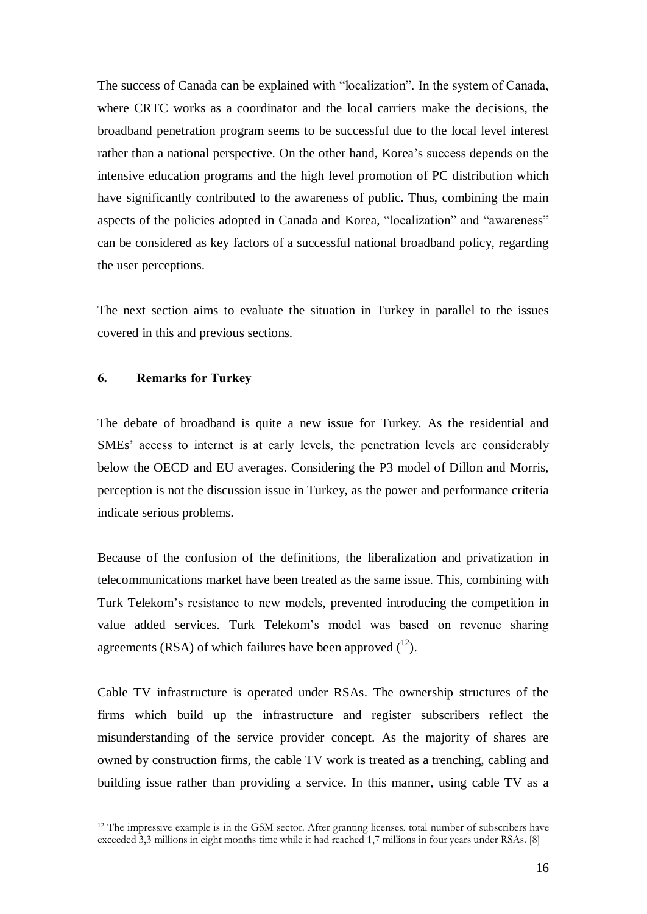The success of Canada can be explained with "localization". In the system of Canada, where CRTC works as a coordinator and the local carriers make the decisions, the broadband penetration program seems to be successful due to the local level interest rather than a national perspective. On the other hand, Korea's success depends on the intensive education programs and the high level promotion of PC distribution which have significantly contributed to the awareness of public. Thus, combining the main aspects of the policies adopted in Canada and Korea, "localization" and "awareness" can be considered as key factors of a successful national broadband policy, regarding the user perceptions.

The next section aims to evaluate the situation in Turkey in parallel to the issues covered in this and previous sections.

### 6. Remarks for Turkey

 $\overline{a}$ 

The debate of broadband is quite a new issue for Turkey. As the residential and SMEs' access to internet is at early levels, the penetration levels are considerably below the OECD and EU averages. Considering the P3 model of Dillon and Morris, perception is not the discussion issue in Turkey, as the power and performance criteria indicate serious problems.

Because of the confusion of the definitions, the liberalization and privatization in telecommunications market have been treated as the same issue. This, combining with Turk Telekom's resistance to new models, prevented introducing the competition in value added services. Turk Telekom's model was based on revenue sharing agreements (RSA) of which failures have been approved  $(^{12})$ .

Cable TV infrastructure is operated under RSAs. The ownership structures of the firms which build up the infrastructure and register subscribers reflect the misunderstanding of the service provider concept. As the majority of shares are owned by construction firms, the cable TV work is treated as a trenching, cabling and building issue rather than providing a service. In this manner, using cable TV as a

<sup>12</sup> The impressive example is in the GSM sector. After granting licenses, total number of subscribers have exceeded 3,3 millions in eight months time while it had reached 1,7 millions in four years under RSAs. [8]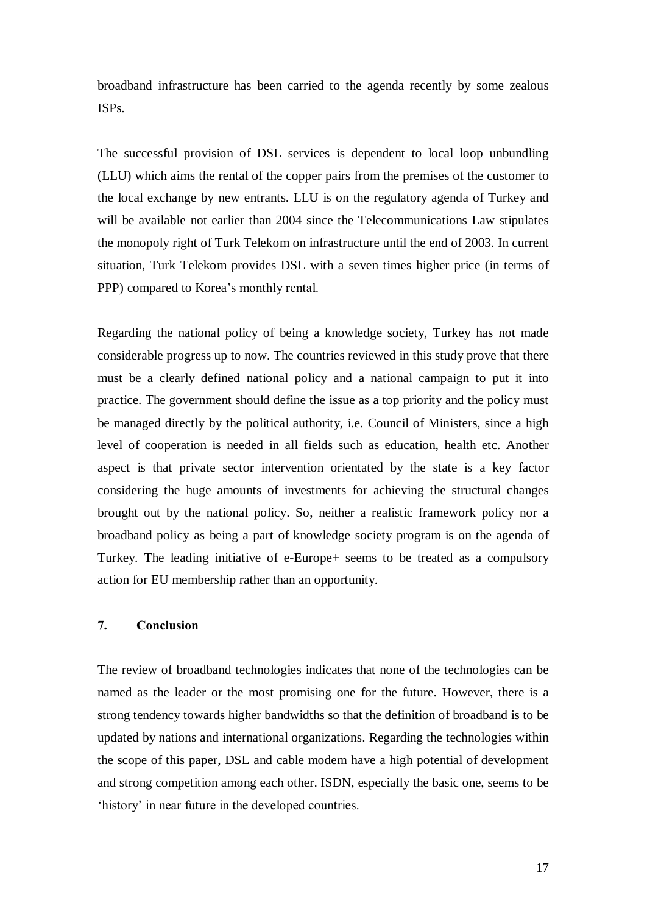broadband infrastructure has been carried to the agenda recently by some zealous ISPs.

The successful provision of DSL services is dependent to local loop unbundling (LLU) which aims the rental of the copper pairs from the premises of the customer to the local exchange by new entrants. LLU is on the regulatory agenda of Turkey and will be available not earlier than 2004 since the Telecommunications Law stipulates the monopoly right of Turk Telekom on infrastructure until the end of 2003. In current situation, Turk Telekom provides DSL with a seven times higher price (in terms of PPP) compared to Korea's monthly rental.

Regarding the national policy of being a knowledge society, Turkey has not made considerable progress up to now. The countries reviewed in this study prove that there must be a clearly defined national policy and a national campaign to put it into practice. The government should define the issue as a top priority and the policy must be managed directly by the political authority, i.e. Council of Ministers, since a high level of cooperation is needed in all fields such as education, health etc. Another aspect is that private sector intervention orientated by the state is a key factor considering the huge amounts of investments for achieving the structural changes brought out by the national policy. So, neither a realistic framework policy nor a broadband policy as being a part of knowledge society program is on the agenda of Turkey. The leading initiative of e-Europe+ seems to be treated as a compulsory action for EU membership rather than an opportunity.

### 7. Conclusion

The review of broadband technologies indicates that none of the technologies can be named as the leader or the most promising one for the future. However, there is a strong tendency towards higher bandwidths so that the definition of broadband is to be updated by nations and international organizations. Regarding the technologies within the scope of this paper, DSL and cable modem have a high potential of development and strong competition among each other. ISDN, especially the basic one, seems to be 'history' in near future in the developed countries.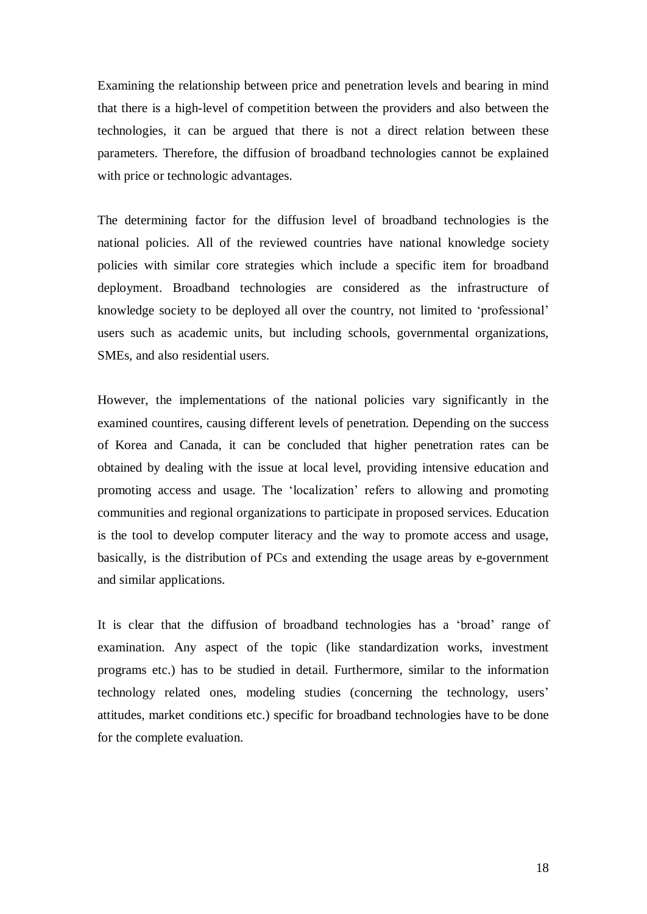Examining the relationship between price and penetration levels and bearing in mind that there is a high-level of competition between the providers and also between the technologies, it can be argued that there is not a direct relation between these parameters. Therefore, the diffusion of broadband technologies cannot be explained with price or technologic advantages.

The determining factor for the diffusion level of broadband technologies is the national policies. All of the reviewed countries have national knowledge society policies with similar core strategies which include a specific item for broadband deployment. Broadband technologies are considered as the infrastructure of knowledge society to be deployed all over the country, not limited to 'professional' users such as academic units, but including schools, governmental organizations, SMEs, and also residential users.

However, the implementations of the national policies vary significantly in the examined countires, causing different levels of penetration. Depending on the success of Korea and Canada, it can be concluded that higher penetration rates can be obtained by dealing with the issue at local level, providing intensive education and promoting access and usage. The 'localization' refers to allowing and promoting communities and regional organizations to participate in proposed services. Education is the tool to develop computer literacy and the way to promote access and usage, basically, is the distribution of PCs and extending the usage areas by e-government and similar applications.

It is clear that the diffusion of broadband technologies has a 'broad' range of examination. Any aspect of the topic (like standardization works, investment programs etc.) has to be studied in detail. Furthermore, similar to the information technology related ones, modeling studies (concerning the technology, users' attitudes, market conditions etc.) specific for broadband technologies have to be done for the complete evaluation.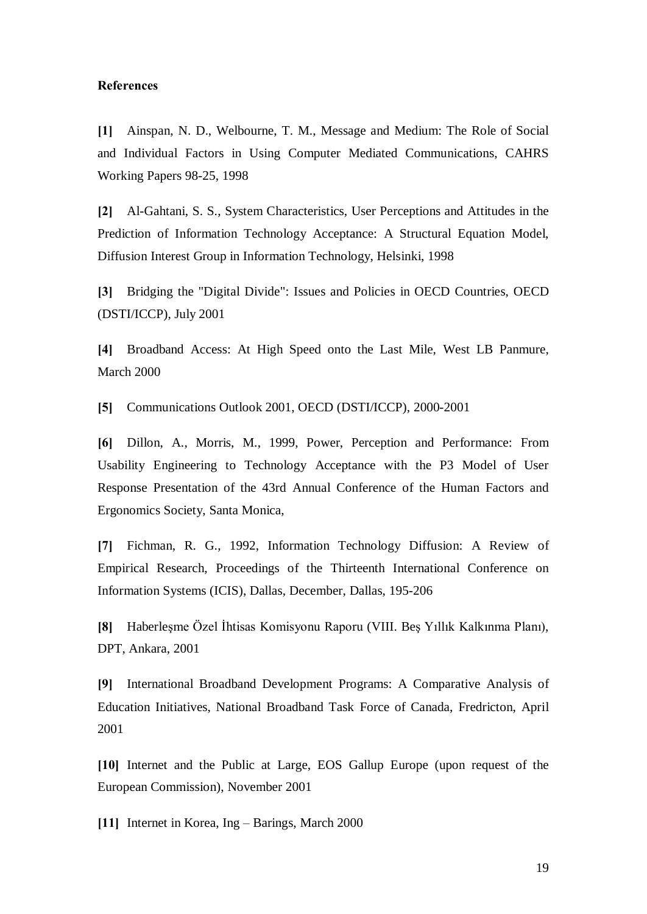#### References

[1] Ainspan, N. D., Welbourne, T. M., Message and Medium: The Role of Social and Individual Factors in Using Computer Mediated Communications, CAHRS Working Papers 98-25, 1998

[2] Al-Gahtani, S. S., System Characteristics, User Perceptions and Attitudes in the Prediction of Information Technology Acceptance: A Structural Equation Model, Diffusion Interest Group in Information Technology, Helsinki, 1998

[3] Bridging the "Digital Divide": Issues and Policies in OECD Countries, OECD (DSTI/ICCP), July 2001

[4] Broadband Access: At High Speed onto the Last Mile, West LB Panmure, March 2000

[5] Communications Outlook 2001, OECD (DSTI/ICCP), 2000-2001

[6] Dillon, A., Morris, M., 1999, Power, Perception and Performance: From Usability Engineering to Technology Acceptance with the P3 Model of User Response Presentation of the 43rd Annual Conference of the Human Factors and Ergonomics Society, Santa Monica,

[7] Fichman, R. G., 1992, Information Technology Diffusion: A Review of Empirical Research, Proceedings of the Thirteenth International Conference on Information Systems (ICIS), Dallas, December, Dallas, 195-206

[8] Haberleşme Özel İhtisas Komisyonu Raporu (VIII. Beş Yıllık Kalkınma Planı), DPT, Ankara, 2001

[9] International Broadband Development Programs: A Comparative Analysis of Education Initiatives, National Broadband Task Force of Canada, Fredricton, April 2001

[10] Internet and the Public at Large, EOS Gallup Europe (upon request of the European Commission), November 2001

[11] Internet in Korea, Ing  $-$  Barings, March 2000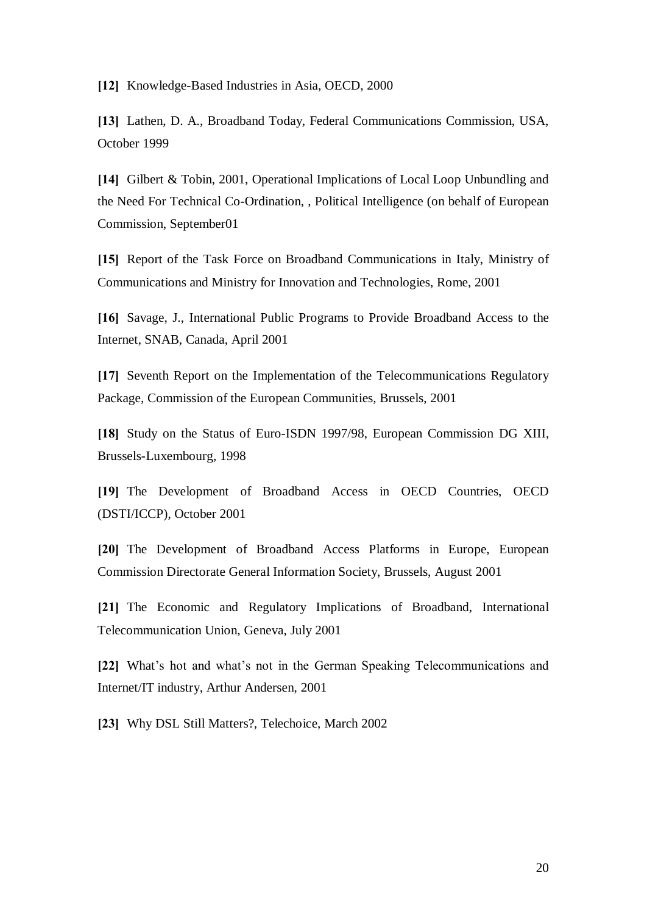[12] Knowledge-Based Industries in Asia, OECD, 2000

[13] Lathen, D. A., Broadband Today, Federal Communications Commission, USA, October 1999

[14] Gilbert & Tobin, 2001, Operational Implications of Local Loop Unbundling and the Need For Technical Co-Ordination, , Political Intelligence (on behalf of European Commission, September01

[15] Report of the Task Force on Broadband Communications in Italy, Ministry of Communications and Ministry for Innovation and Technologies, Rome, 2001

[16] Savage, J., International Public Programs to Provide Broadband Access to the Internet, SNAB, Canada, April 2001

[17] Seventh Report on the Implementation of the Telecommunications Regulatory Package, Commission of the European Communities, Brussels, 2001

[18] Study on the Status of Euro-ISDN 1997/98, European Commission DG XIII, Brussels-Luxembourg, 1998

[19] The Development of Broadband Access in OECD Countries, OECD (DSTI/ICCP), October 2001

[20] The Development of Broadband Access Platforms in Europe, European Commission Directorate General Information Society, Brussels, August 2001

[21] The Economic and Regulatory Implications of Broadband, International Telecommunication Union, Geneva, July 2001

[22] What's hot and what's not in the German Speaking Telecommunications and Internet/IT industry, Arthur Andersen, 2001

[23] Why DSL Still Matters?, Telechoice, March 2002